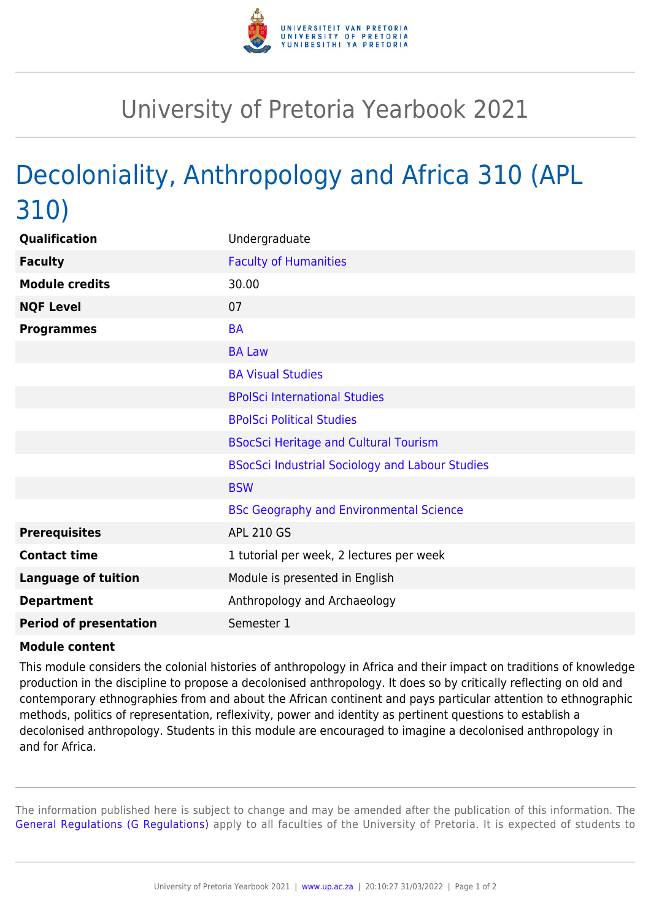

## University of Pretoria Yearbook 2021

## Decoloniality, Anthropology and Africa 310 (APL 310)

| Qualification                 | Undergraduate                                          |
|-------------------------------|--------------------------------------------------------|
| <b>Faculty</b>                | <b>Faculty of Humanities</b>                           |
| <b>Module credits</b>         | 30.00                                                  |
| <b>NQF Level</b>              | 07                                                     |
| <b>Programmes</b>             | <b>BA</b>                                              |
|                               | <b>BA Law</b>                                          |
|                               | <b>BA Visual Studies</b>                               |
|                               | <b>BPolSci International Studies</b>                   |
|                               | <b>BPolSci Political Studies</b>                       |
|                               | <b>BSocSci Heritage and Cultural Tourism</b>           |
|                               | <b>BSocSci Industrial Sociology and Labour Studies</b> |
|                               | <b>BSW</b>                                             |
|                               | <b>BSc Geography and Environmental Science</b>         |
| <b>Prerequisites</b>          | <b>APL 210 GS</b>                                      |
| <b>Contact time</b>           | 1 tutorial per week, 2 lectures per week               |
| <b>Language of tuition</b>    | Module is presented in English                         |
| <b>Department</b>             | Anthropology and Archaeology                           |
| <b>Period of presentation</b> | Semester 1                                             |

## **Module content**

This module considers the colonial histories of anthropology in Africa and their impact on traditions of knowledge production in the discipline to propose a decolonised anthropology. It does so by critically reflecting on old and contemporary ethnographies from and about the African continent and pays particular attention to ethnographic methods, politics of representation, reflexivity, power and identity as pertinent questions to establish a decolonised anthropology. Students in this module are encouraged to imagine a decolonised anthropology in and for Africa.

The information published here is subject to change and may be amended after the publication of this information. The [General Regulations \(G Regulations\)](https://www.up.ac.za/mechanical-and-aeronautical-engineering/yearbooks/2021/rules/view/REG) apply to all faculties of the University of Pretoria. It is expected of students to